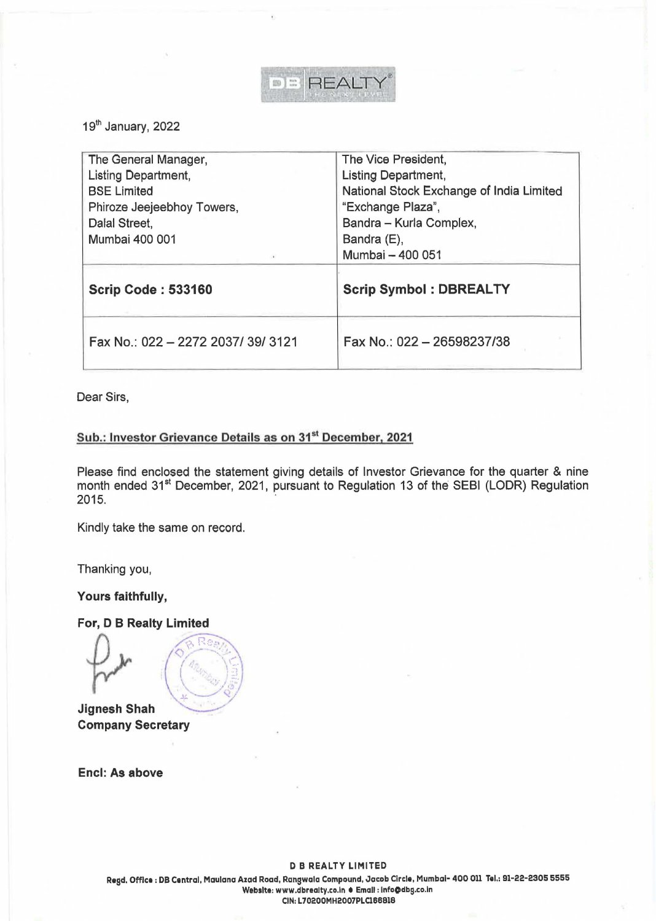

19th January, 2022

| The General Manager,       | The Vice President,                      |
|----------------------------|------------------------------------------|
| Listing Department,        | Listing Department,                      |
| <b>BSE Limited</b>         | National Stock Exchange of India Limited |
| Phiroze Jeejeebhoy Towers, | "Exchange Plaza",                        |
| Dalal Street,              | Bandra - Kurla Complex,                  |
| Mumbai 400 001             | Bandra (E),                              |
| $\alpha$                   | Mumbai - 400 051                         |
|                            |                                          |
| <b>Scrip Code: 533160</b>  | <b>Scrip Symbol: DBREALTY</b>            |

Dear Sirs,

## **Sub.: Investor Grievance Details as on 31st December, 2021**

Please find enclosed the statement giving details of Investor Grievance for the quarter & nine month ended 31<sup>st</sup> December, 2021, pursuant to Regulation 13 of the SEBI (LODR) Regulation 2015.

Kindly take the same on record.

Thanking you,

Yours faithfully,

For, D B Realty Limited

**Jignesh Shah Company Secretary** 

Encl: As above

**Regd.** Office: DB Central, Maulana Azad Road, Rangwala Compound, Jacob Circle, Mumbai- 400 011 Tel.: 91-22-2305 5555 Website: www.dbrealty.co.in . Email : info@dbg.co.in CIN: L70200MH2007PLC188818